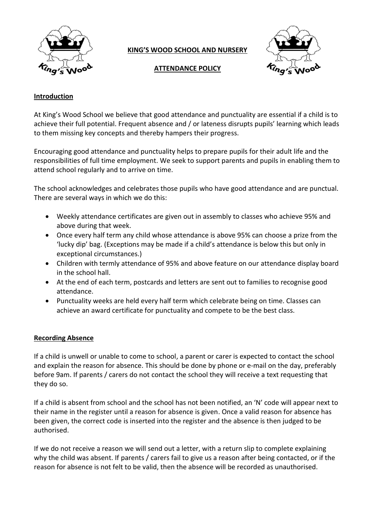

# **KING'S WOOD SCHOOL AND NURSERY**



# **ATTENDANCE POLICY**

# **Introduction**

At King's Wood School we believe that good attendance and punctuality are essential if a child is to achieve their full potential. Frequent absence and / or lateness disrupts pupils' learning which leads to them missing key concepts and thereby hampers their progress.

Encouraging good attendance and punctuality helps to prepare pupils for their adult life and the responsibilities of full time employment. We seek to support parents and pupils in enabling them to attend school regularly and to arrive on time.

The school acknowledges and celebrates those pupils who have good attendance and are punctual. There are several ways in which we do this:

- Weekly attendance certificates are given out in assembly to classes who achieve 95% and above during that week.
- Once every half term any child whose attendance is above 95% can choose a prize from the 'lucky dip' bag. (Exceptions may be made if a child's attendance is below this but only in exceptional circumstances.)
- Children with termly attendance of 95% and above feature on our attendance display board in the school hall.
- At the end of each term, postcards and letters are sent out to families to recognise good attendance.
- Punctuality weeks are held every half term which celebrate being on time. Classes can achieve an award certificate for punctuality and compete to be the best class.

## **Recording Absence**

If a child is unwell or unable to come to school, a parent or carer is expected to contact the school and explain the reason for absence. This should be done by phone or e-mail on the day, preferably before 9am. If parents / carers do not contact the school they will receive a text requesting that they do so.

If a child is absent from school and the school has not been notified, an 'N' code will appear next to their name in the register until a reason for absence is given. Once a valid reason for absence has been given, the correct code is inserted into the register and the absence is then judged to be authorised.

If we do not receive a reason we will send out a letter, with a return slip to complete explaining why the child was absent. If parents / carers fail to give us a reason after being contacted, or if the reason for absence is not felt to be valid, then the absence will be recorded as unauthorised.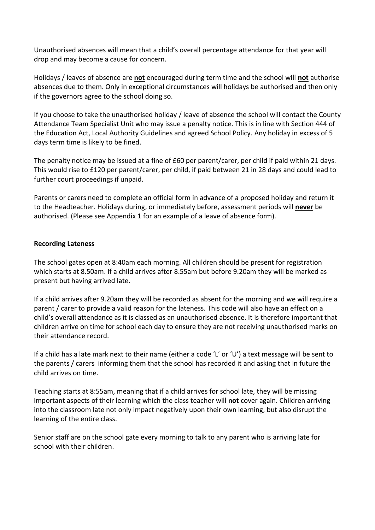Unauthorised absences will mean that a child's overall percentage attendance for that year will drop and may become a cause for concern.

Holidays / leaves of absence are **not** encouraged during term time and the school will **not** authorise absences due to them. Only in exceptional circumstances will holidays be authorised and then only if the governors agree to the school doing so.

If you choose to take the unauthorised holiday / leave of absence the school will contact the County Attendance Team Specialist Unit who may issue a penalty notice. This is in line with Section 444 of the Education Act, Local Authority Guidelines and agreed School Policy. Any holiday in excess of 5 days term time is likely to be fined.

The penalty notice may be issued at a fine of £60 per parent/carer, per child if paid within 21 days. This would rise to £120 per parent/carer, per child, if paid between 21 in 28 days and could lead to further court proceedings if unpaid.

Parents or carers need to complete an official form in advance of a proposed holiday and return it to the Headteacher. Holidays during, or immediately before, assessment periods will **never** be authorised. (Please see Appendix 1 for an example of a leave of absence form).

# **Recording Lateness**

The school gates open at 8:40am each morning. All children should be present for registration which starts at 8.50am. If a child arrives after 8.55am but before 9.20am they will be marked as present but having arrived late.

If a child arrives after 9.20am they will be recorded as absent for the morning and we will require a parent / carer to provide a valid reason for the lateness. This code will also have an effect on a child's overall attendance as it is classed as an unauthorised absence. It is therefore important that children arrive on time for school each day to ensure they are not receiving unauthorised marks on their attendance record.

If a child has a late mark next to their name (either a code 'L' or 'U') a text message will be sent to the parents / carers informing them that the school has recorded it and asking that in future the child arrives on time.

Teaching starts at 8:55am, meaning that if a child arrives for school late, they will be missing important aspects of their learning which the class teacher will **not** cover again. Children arriving into the classroom late not only impact negatively upon their own learning, but also disrupt the learning of the entire class.

Senior staff are on the school gate every morning to talk to any parent who is arriving late for school with their children.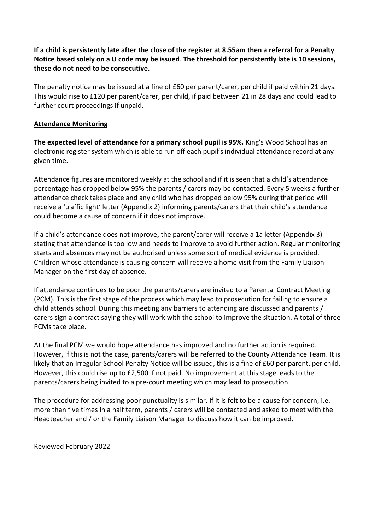**If a child is persistently late after the close of the register at 8.55am then a referral for a Penalty Notice based solely on a U code may be issued**. **The threshold for persistently late is 10 sessions, these do not need to be consecutive.**

The penalty notice may be issued at a fine of £60 per parent/carer, per child if paid within 21 days. This would rise to £120 per parent/carer, per child, if paid between 21 in 28 days and could lead to further court proceedings if unpaid.

# **Attendance Monitoring**

**The expected level of attendance for a primary school pupil is 95%.** King's Wood School has an electronic register system which is able to run off each pupil's individual attendance record at any given time.

Attendance figures are monitored weekly at the school and if it is seen that a child's attendance percentage has dropped below 95% the parents / carers may be contacted. Every 5 weeks a further attendance check takes place and any child who has dropped below 95% during that period will receive a 'traffic light' letter (Appendix 2) informing parents/carers that their child's attendance could become a cause of concern if it does not improve.

If a child's attendance does not improve, the parent/carer will receive a 1a letter (Appendix 3) stating that attendance is too low and needs to improve to avoid further action. Regular monitoring starts and absences may not be authorised unless some sort of medical evidence is provided. Children whose attendance is causing concern will receive a home visit from the Family Liaison Manager on the first day of absence.

If attendance continues to be poor the parents/carers are invited to a Parental Contract Meeting (PCM). This is the first stage of the process which may lead to prosecution for failing to ensure a child attends school. During this meeting any barriers to attending are discussed and parents / carers sign a contract saying they will work with the school to improve the situation. A total of three PCMs take place.

At the final PCM we would hope attendance has improved and no further action is required. However, if this is not the case, parents/carers will be referred to the County Attendance Team. It is likely that an Irregular School Penalty Notice will be issued, this is a fine of £60 per parent, per child. However, this could rise up to £2,500 if not paid. No improvement at this stage leads to the parents/carers being invited to a pre-court meeting which may lead to prosecution.

The procedure for addressing poor punctuality is similar. If it is felt to be a cause for concern, i.e. more than five times in a half term, parents / carers will be contacted and asked to meet with the Headteacher and / or the Family Liaison Manager to discuss how it can be improved.

Reviewed February 2022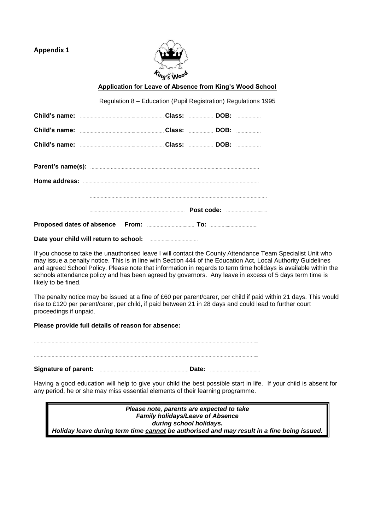## **Appendix 1**



### **Application for Leave of Absence from King's Wood School**

| Regulation 8 – Education (Pupil Registration) Regulations 1995   |  |  |  |  |
|------------------------------------------------------------------|--|--|--|--|
|                                                                  |  |  |  |  |
| Child's name: <b>Market and Science Class: 2008</b> : DOB: 2008. |  |  |  |  |
|                                                                  |  |  |  |  |
|                                                                  |  |  |  |  |
|                                                                  |  |  |  |  |
|                                                                  |  |  |  |  |

## **Date your child will return to school:** …………...…………………

If you choose to take the unauthorised leave I will contact the County Attendance Team Specialist Unit who may issue a penalty notice. This is in line with Section 444 of the Education Act, Local Authority Guidelines and agreed School Policy. Please note that information in regards to term time holidays is available within the schools attendance policy and has been agreed by governors. Any leave in excess of 5 days term time is likely to be fined.

The penalty notice may be issued at a fine of £60 per parent/carer, per child if paid within 21 days. This would rise to £120 per parent/carer, per child, if paid between 21 in 28 days and could lead to further court proceedings if unpaid.

#### **Please provide full details of reason for absence:**

| <b>Signature of parent:</b> | Date: |
|-----------------------------|-------|
|                             |       |
|                             |       |

Having a good education will help to give your child the best possible start in life. If your child is absent for any period, he or she may miss essential elements of their learning programme.

| Please note, parents are expected to take                                                  |  |  |
|--------------------------------------------------------------------------------------------|--|--|
| <b>Family holidays/Leave of Absence</b>                                                    |  |  |
| during school holidays.                                                                    |  |  |
| Holiday leave during term time cannot be authorised and may result in a fine being issued. |  |  |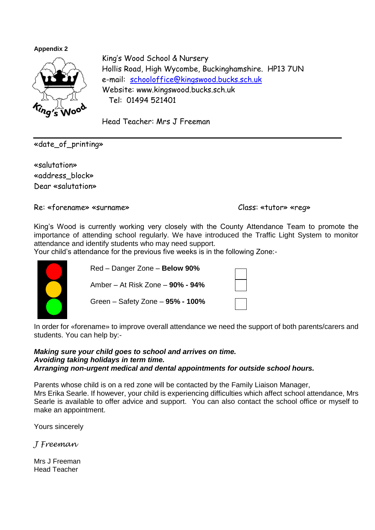**Appendix 2**



King's Wood School & Nursery Hollis Road, High Wycombe, Buckinghamshire. HP13 7UN e-mail: [schooloffice@kingswood.bucks.sch.uk](mailto:schooloffice@kingswood.bucks.sch.uk) Website: www.kingswood.bucks.sch.uk Tel: 01494 521401

Head Teacher: Mrs J Freeman

«date\_of\_printing»

«salutation» «address\_block» Dear «salutation»

Re: «forename» «surname» Class: «tutor» «reg»

King's Wood is currently working very closely with the County Attendance Team to promote the importance of attending school regularly. We have introduced the Traffic Light System to monitor attendance and identify students who may need support.

Your child's attendance for the previous five weeks is in the following Zone:-



 Red – Danger Zone – **Below 90%** Amber – At Risk Zone – **90% - 94%** Green – Safety Zone – **95% - 100%**

In order for «forename» to improve overall attendance we need the support of both parents/carers and students. You can help by:-

# *Making sure your child goes to school and arrives on time. Avoiding taking holidays in term time. Arranging non-urgent medical and dental appointments for outside school hours.*

Parents whose child is on a red zone will be contacted by the Family Liaison Manager, Mrs Erika Searle. If however, your child is experiencing difficulties which affect school attendance, Mrs Searle is available to offer advice and support. You can also contact the school office or myself to make an appointment.

Yours sincerely

*J Freeman*

Mrs J Freeman Head Teacher